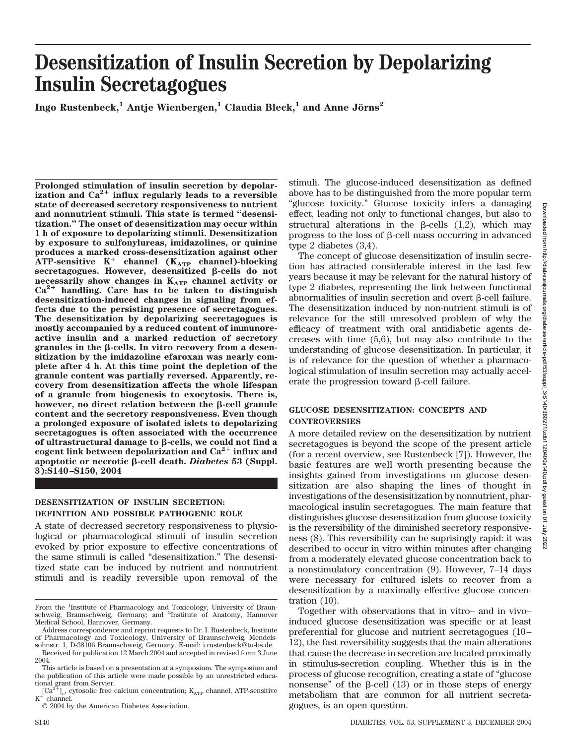# **Desensitization of Insulin Secretion by Depolarizing Insulin Secretagogues**

**Ingo Rustenbeck,<sup>1</sup> Antje Wienbergen,<sup>1</sup> Claudia Bleck,<sup>1</sup> and Anne Jörns<sup>2</sup>** 

**Prolonged stimulation of insulin secretion by depolar**ization and  $Ca^{2+}$  influx regularly leads to a reversible **state of decreased secretory responsiveness to nutrient and nonnutrient stimuli. This state is termed "desensitization." The onset of desensitization may occur within 1 h of exposure to depolarizing stimuli. Desensitization by exposure to sulfonylureas, imidazolines, or quinine produces a marked cross-desensitization against other**  $ATP$ -sensitive  $K^+$  channel  $(K_{ATP}$  channel)-blocking secretagogues. However, desensitized β-cells do not necessarily show changes in K<sub>ATP</sub> channel activity or **Ca2 handling. Care has to be taken to distinguish desensitization-induced changes in signaling from effects due to the persisting presence of secretagogues. The desensitization by depolarizing secretagogues is mostly accompanied by a reduced content of immunoreactive insulin and a marked reduction of secretory** granules in the  $\beta$ -cells. In vitro recovery from a desen**sitization by the imidazoline efaroxan was nearly complete after 4 h. At this time point the depletion of the granule content was partially reversed. Apparently, recovery from desensitization affects the whole lifespan of a granule from biogenesis to exocytosis. There is, however, no direct relation between the β-cell granule content and the secretory responsiveness. Even though a prolonged exposure of isolated islets to depolarizing secretagogues is often associated with the occurrence** of ultrastructural damage to β-cells, we could not find a **cogent link between depolarization and Ca2 influx and apoptotic or necrotic β-cell death.** *Diabetes* 53 (Suppl. **3):S140–S150, 2004**

### **DESENSITIZATION OF INSULIN SECRETION: DEFINITION AND POSSIBLE PATHOGENIC ROLE**

A state of decreased secretory responsiveness to physiological or pharmacological stimuli of insulin secretion evoked by prior exposure to effective concentrations of the same stimuli is called "desensitization." The desensitized state can be induced by nutrient and nonnutrient stimuli and is readily reversible upon removal of the

© 2004 by the American Diabetes Association.

stimuli. The glucose-induced desensitization as defined above has to be distinguished from the more popular term "glucose toxicity." Glucose toxicity infers a damaging effect, leading not only to functional changes, but also to structural alterations in the  $\beta$ -cells (1,2), which may progress to the loss of  $\beta$ -cell mass occurring in advanced type 2 diabetes (3,4).

The concept of glucose desensitization of insulin secretion has attracted considerable interest in the last few years because it may be relevant for the natural history of type 2 diabetes, representing the link between functional abnormalities of insulin secretion and overt  $\beta$ -cell failure. The desensitization induced by non-nutrient stimuli is of relevance for the still unresolved problem of why the efficacy of treatment with oral antidiabetic agents decreases with time (5,6), but may also contribute to the understanding of glucose desensitization. In particular, it is of relevance for the question of whether a pharmacological stimulation of insulin secretion may actually accelerate the progression toward  $\beta$ -cell failure.

## **GLUCOSE DESENSITIZATION: CONCEPTS AND CONTROVERSIES**

A more detailed review on the desensitization by nutrient secretagogues is beyond the scope of the present article (for a recent overview, see Rustenbeck [7]). However, the basic features are well worth presenting because the insights gained from investigations on glucose desensitization are also shaping the lines of thought in investigations of the desensisitization by nonnutrient, pharmacological insulin secretagogues. The main feature that distinguishes glucose desensitization from glucose toxicity is the reversibility of the diminished secretory responsiveness (8). This reversibility can be suprisingly rapid: it was described to occur in vitro within minutes after changing from a moderately elevated glucose concentration back to a nonstimulatory concentration (9). However, 7–14 days were necessary for cultured islets to recover from a desensitization by a maximally effective glucose concentration (10).

Together with observations that in vitro– and in vivo– induced glucose desensitization was specific or at least preferential for glucose and nutrient secretagogues (10– 12), the fast reversibility suggests that the main alterations that cause the decrease in secretion are located proximally in stimulus-secretion coupling. Whether this is in the process of glucose recognition, creating a state of "glucose nonsense" of the  $\beta$ -cell (13) or in those steps of energy metabolism that are common for all nutrient secretagogues, is an open question.

From the <sup>1</sup>Institute of Pharmacology and Toxicology, University of Braunschweig, Braunschweig, Germany; and <sup>2</sup>Institute of Anatomy, Hannover Medical School, Hannover, Germany.

Address correspondence and reprint requests to Dr. I. Rustenbeck, Institute of Pharmacology and Toxicology, University of Braunschweig, Mendelssohnstr. 1, D-38106 Braunschweig, Germany. E-mail: i.rustenbeck@tu-bs.de.

Received for publication 12 March 2004 and accepted in revised form 3 June 2004.

This article is based on a presentation at a symposium. The symposium and the publication of this article were made possible by an unrestricted educa-

tional grant from Servier.<br>
[Ca<sup>2+</sup>]<sub>c</sub>, cytosolic free calcium concentration;  $K_{ATP}$  channel, ATP-sensitive  $K^+$  channel.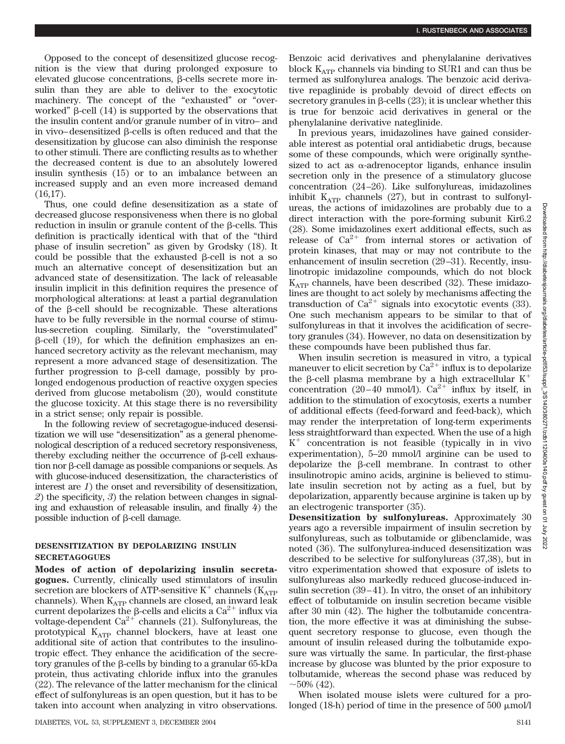Opposed to the concept of desensitized glucose recognition is the view that during prolonged exposure to elevated glucose concentrations,  $\beta$ -cells secrete more insulin than they are able to deliver to the exocytotic machinery. The concept of the "exhausted" or "overworked"  $\beta$ -cell (14) is supported by the observations that the insulin content and/or granule number of in vitro– and in vivo–desensitized B-cells is often reduced and that the desensitization by glucose can also diminish the response to other stimuli. There are conflicting results as to whether the decreased content is due to an absolutely lowered insulin synthesis (15) or to an imbalance between an increased supply and an even more increased demand (16,17).

Thus, one could define desensitization as a state of decreased glucose responsiveness when there is no global reduction in insulin or granule content of the B-cells. This definition is practically identical with that of the "third phase of insulin secretion" as given by Grodsky (18). It could be possible that the exhausted  $\beta$ -cell is not a so much an alternative concept of desensitization but an advanced state of desensitization. The lack of releasable insulin implicit in this definition requires the presence of morphological alterations: at least a partial degranulation of the  $\beta$ -cell should be recognizable. These alterations have to be fully reversible in the normal course of stimulus-secretion coupling. Similarly, the "overstimulated"  $\beta$ -cell (19), for which the definition emphasizes an enhanced secretory activity as the relevant mechanism, may represent a more advanced stage of desensitization. The further progression to  $\beta$ -cell damage, possibly by prolonged endogenous production of reactive oxygen species derived from glucose metabolism (20), would constitute the glucose toxicity. At this stage there is no reversibility in a strict sense; only repair is possible.

In the following review of secretagogue-induced desensitization we will use "desensitization" as a general phenomenological description of a reduced secretory responsiveness, thereby excluding neither the occurrence of  $\beta$ -cell exhaus- $\frac{1}{2}$  tion nor  $\beta$ -cell damage as possible companions or sequels. As with glucose-induced desensitization, the characteristics of interest are *1*) the onset and reversibility of desensitization, *2*) the specificity, *3*) the relation between changes in signaling and exhaustion of releasable insulin, and finally *4*) the possible induction of  $\beta$ -cell damage.

#### **DESENSITIZATION BY DEPOLARIZING INSULIN SECRETAGOGUES**

**Modes of action of depolarizing insulin secretagogues.** Currently, clinically used stimulators of insulin secretion are blockers of ATP-sensitive  $K^+$  channels ( $K_{ATP}$ channels). When  $K_{ATP}$  channels are closed, an inward leak current depolarizes the  $\beta$ -cells and elicits a Ca<sup>2+</sup> influx via voltage-dependent  $Ca^{2+}$  channels (21). Sulfonylureas, the prototypical  $K_{ATP}$  channel blockers, have at least one additional site of action that contributes to the insulinotropic effect. They enhance the acidification of the secretory granules of the  $\beta$ -cells by binding to a granular 65-kDa protein, thus activating chloride influx into the granules (22). The relevance of the latter mechanism for the clinical effect of sulfonylureas is an open question, but it has to be taken into account when analyzing in vitro observations.

Benzoic acid derivatives and phenylalanine derivatives block  $K_{\text{ATP}}$  channels via binding to SUR1 and can thus be termed as sulfonylurea analogs. The benzoic acid derivative repaglinide is probably devoid of direct effects on secretory granules in  $\beta$ -cells (23); it is unclear whether this is true for benzoic acid derivatives in general or the phenylalanine derivative nateglinide.

In previous years, imidazolines have gained considerable interest as potential oral antidiabetic drugs, because some of these compounds, which were originally synthesized to act as  $\alpha$ -adrenoceptor ligands, enhance insulin secretion only in the presence of a stimulatory glucose concentration (24–26). Like sulfonylureas, imidazolines inhibit  $K_{ATP}$  channels (27), but in contrast to sulfonylureas, the actions of imidazolines are probably due to a direct interaction with the pore-forming subunit Kir6.2 (28). Some imidazolines exert additional effects, such as release of  $Ca^{2+}$  from internal stores or activation of protein kinases, that may or may not contribute to the enhancement of insulin secretion (29–31). Recently, insulinotropic imidazoline compounds, which do not block  $K_{ATP}$  channels, have been described (32). These imidazolines are thought to act solely by mechanisms affecting the transduction of  $Ca^{2+}$  signals into exocytotic events (33). One such mechanism appears to be similar to that of sulfonylureas in that it involves the acidification of secretory granules (34). However, no data on desensitization by these compounds have been published thus far.

When insulin secretion is measured in vitro, a typical maneuver to elicit secretion by  $Ca^{2+}$  influx is to depolarize the  $\beta$ -cell plasma membrane by a high extracellular K<sup>+</sup> concentration (20–40 mmol/l).  $Ca^{2+}$  influx by itself, in addition to the stimulation of exocytosis, exerts a number of additional effects (feed-forward and feed-back), which may render the interpretation of long-term experiments less straightforward than expected. When the use of a high K- concentration is not feasible (typically in in vivo experimentation), 5–20 mmol/l arginine can be used to depolarize the  $\beta$ -cell membrane. In contrast to other insulinotropic amino acids, arginine is believed to stimulate insulin secretion not by acting as a fuel, but by depolarization, apparently because arginine is taken up by an electrogenic transporter (35).

**Desensitization by sulfonylureas.** Approximately 30 years ago a reversible impairment of insulin secretion by sulfonylureas, such as tolbutamide or glibenclamide, was noted (36). The sulfonylurea-induced desensitization was described to be selective for sulfonylureas (37,38), but in vitro experimentation showed that exposure of islets to sulfonylureas also markedly reduced glucose-induced insulin secretion (39–41). In vitro, the onset of an inhibitory effect of tolbutamide on insulin secretion became visible after 30 min (42). The higher the tolbutamide concentration, the more effective it was at diminishing the subsequent secretory response to glucose, even though the amount of insulin released during the tolbutamide exposure was virtually the same. In particular, the first-phase increase by glucose was blunted by the prior exposure to tolbutamide, whereas the second phase was reduced by  $\sim$ 50% (42).

When isolated mouse islets were cultured for a prolonged (18-h) period of time in the presence of  $500 \mu \text{mol/l}$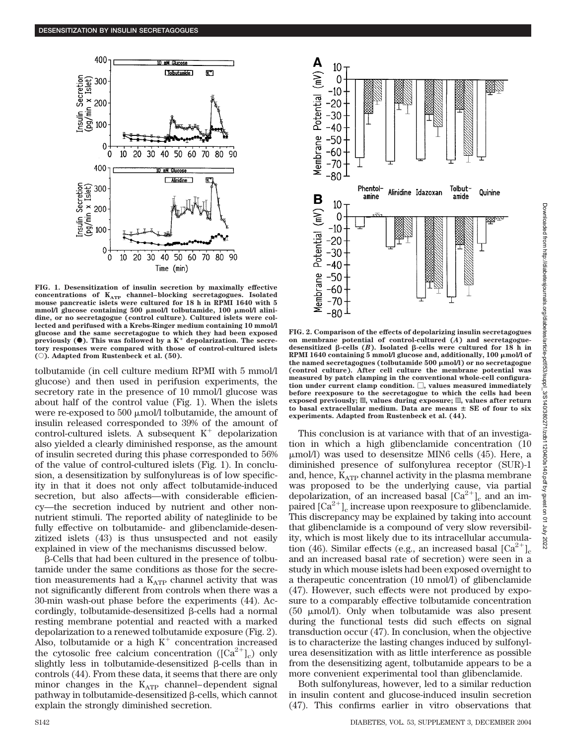

**FIG. 1. Desensitization of insulin secretion by maximally effective** concentrations of K<sub>ATP</sub> channel–blocking secretagogues. Isolated mouse pancreatic islets were cultured for 18 h in RPMI 1640 with 5 mmol/l glucose containing 500  $\mu$ mol/l tolbutamide, 100  $\mu$ mol/l alini**dine, or no secretagogue (control culture). Cultured islets were collected and perifused with a Krebs-Ringer medium containing 10 mmol/l glucose and the same secretagogue to which they had been exposed** previously  $(\bullet)$ . This was followed by a  $K^+$  depolarization. The secre**tory responses were compared with those of control-cultured islets (**E**). Adapted from Rustenbeck et al. (50).**

tolbutamide (in cell culture medium RPMI with 5 mmol/l glucose) and then used in perifusion experiments, the secretory rate in the presence of 10 mmol/l glucose was about half of the control value (Fig. 1). When the islets were re-exposed to 500  $\mu$ mol/l tolbutamide, the amount of insulin released corresponded to 39% of the amount of control-cultured islets. A subsequent  $K^+$  depolarization also yielded a clearly diminished response, as the amount of insulin secreted during this phase corresponded to 56% of the value of control-cultured islets (Fig. 1). In conclusion, a desensitization by sulfonylureas is of low specificity in that it does not only affect tolbutamide-induced secretion, but also affects—with considerable efficiency—the secretion induced by nutrient and other nonnutrient stimuli. The reported ability of nateglinide to be fully effective on tolbutamide- and glibenclamide-desenzitized islets (43) is thus unsuspected and not easily explained in view of the mechanisms discussed below.

-Cells that had been cultured in the presence of tolbutamide under the same conditions as those for the secretion measurements had a  $K_{ATP}$  channel activity that was not significantly different from controls when there was a 30-min wash-out phase before the experiments (44). Accordingly, tolbutamide-desensitized  $\beta$ -cells had a normal resting membrane potential and reacted with a marked depolarization to a renewed tolbutamide exposure (Fig. 2). Also, tolbutamide or a high  $K^+$  concentration increased the cytosolic free calcium concentration  $([Ca^{2+}]_c)$  only slightly less in tolbutamide-desensitized  $\beta$ -cells than in controls (44). From these data, it seems that there are only minor changes in the  $K_{ATP}$  channel–dependent signal pathway in tolbutamide-desensitized  $\beta$ -cells, which cannot explain the strongly diminished secretion.



**FIG. 2. Comparison of the effects of depolarizing insulin secretagogues on membrane potential of control-cultured (***A***) and secretagogue**desensitized  $\beta$ -cells (*B*). Isolated  $\beta$ -cells were cultured for 18 h in RPMI 1640 containing 5 mmol/l glucose and, additionally, 100  $\mu$ mol/l of **the named secretagogues (tolbutamide 500 mol/l) or no secretagogue (control culture). After cell culture the membrane potential was measured by patch clamping in the conventional whole-cell configura**tion under current clamp condition.  $\Box$ , values measured immediately **before reexposure to the secretagogue to which the cells had been** exposed previously;  $\mathbb{Z}$ , values during exposure;  $\mathbb{Z}$ , values after return **to basal extracellular medium. Data are means SE of four to six experiments. Adapted from Rustenbeck et al. (44).**

This conclusion is at variance with that of an investigation in which a high glibenclamide concentration (10 mol/l) was used to desensitze MIN6 cells (45). Here, a diminished presence of sulfonylurea receptor (SUR)-1 and, hence,  $K_{ATP}$  channel activity in the plasma membrane was proposed to be the underlying cause, via partial depolarization, of an increased basal  $\left[Ca^{2+}\right]_{c}$  and an impaired  $\lbrack Ca^{2+} \rbrack_c$  increase upon reexposure to glibenclamide. This discrepancy may be explained by taking into account that glibenclamide is a compound of very slow reversibility, which is most likely due to its intracellular accumulation (46). Similar effects (e.g., an increased basal  $\lbrack Ca^{2+}\rbrack _c$ and an increased basal rate of secretion) were seen in a study in which mouse islets had been exposed overnight to a therapeutic concentration (10 nmol/l) of glibenclamide (47). However, such effects were not produced by exposure to a comparably effective tolbutamide concentration  $(50 \mu \text{mol/l})$ . Only when tolbutamide was also present during the functional tests did such effects on signal transduction occur (47). In conclusion, when the objective is to characterize the lasting changes induced by sulfonylurea desensitization with as little interference as possible from the desensitizing agent, tolbutamide appears to be a more convenient experimental tool than glibenclamide.

Both sulfonylureas, however, led to a similar reduction in insulin content and glucose-induced insulin secretion (47). This confirms earlier in vitro observations that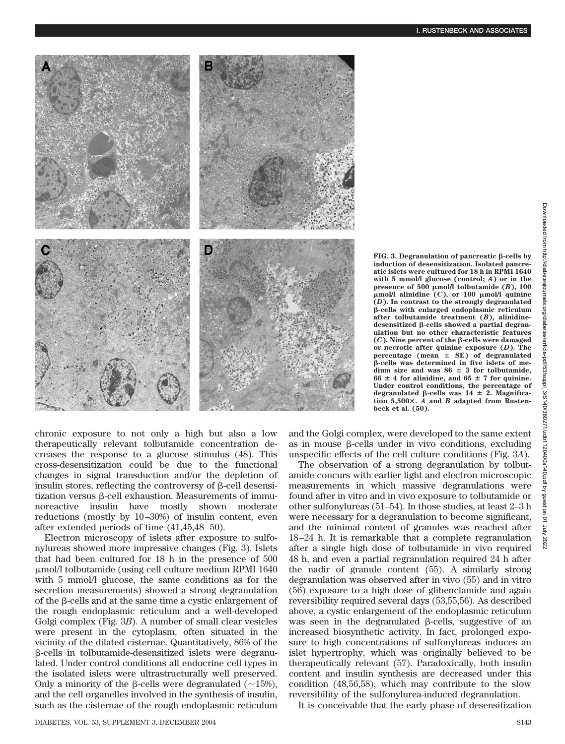

chronic exposure to not only a high but also a low therapeutically relevant tolbutamide concentration decreases the response to a glucose stimulus (48). This cross-desensitization could be due to the functional changes in signal transduction and/or the depletion of insulin stores, reflecting the controversy of  $\beta$ -cell desensitization versus  $\beta$ -cell exhaustion. Measurements of immunoreactive insulin have mostly shown moderate reductions (mostly by 10–30%) of insulin content, even after extended periods of time (41,45,48–50).

Electron microscopy of islets after exposure to sulfonylureas showed more impressive changes (Fig. 3). Islets that had been cultured for 18 h in the presence of 500 mol/l tolbutamide (using cell culture medium RPMI 1640 with 5 mmol/l glucose, the same conditions as for the secretion measurements) showed a strong degranulation of the  $\beta$ -cells and at the same time a cystic enlargement of the rough endoplasmic reticulum and a well-developed Golgi complex (Fig. 3*B*). A number of small clear vesicles were present in the cytoplasm, often situated in the vicinity of the dilated cisternae. Quantitatively, 86% of the  $\beta$ -cells in tolbutamide-desensitized islets were degranulated. Under control conditions all endocrine cell types in the isolated islets were ultrastructurally well preserved. Only a minority of the  $\beta$ -cells were degranulated (~15%), and the cell organelles involved in the synthesis of insulin, such as the cisternae of the rough endoplasmic reticulum

 $FIG. 3. Degranulation of pancreate  $\beta$ -cells by$ **induction of desensitization. Isolated pancreatic islets were cultured for 18 h in RPMI 1640 with 5 mmol/l glucose (control;** *A***) or in the** presence of  $500 \mu \text{mol/l}$  tolbutamide  $(B)$ ,  $100$ **mol/l alinidine (***C***), or 100 mol/l quinine (***D***). In contrast to the strongly degranulated** -**-cells with enlarged endoplasmic reticulum after tolbutamide treatment (***B***), alinidine**desensitized β-cells showed a partial degran**ulation but no other characteristic features**  $(C)$ . Nine percent of the  $\beta$ -cells were damaged **or necrotic after quinine exposure (***D***). The percentage (mean SE) of degranulated** -**-cells was determined in five islets of me-** $\frac{1}{2}$  dium size and was  $86 \pm 3$  for tolbutamide,  $66 \pm 4$  for alinidine, and  $65 \pm 7$  for quinine. **Under control conditions, the percentage of**  $\text{degranulated } \beta\text{-cells was } 14 \pm 2. \text{ Magnifica-}$ **tion 5,500.** *A* **and** *B* **adapted from Rustenbeck et al. (50).**

and the Golgi complex, were developed to the same extent as in mouse  $\beta$ -cells under in vivo conditions, excluding unspecific effects of the cell culture conditions (Fig. 3*A*).

The observation of a strong degranulation by tolbutamide concurs with earlier light and electron microscopic measurements in which massive degranulations were found after in vitro and in vivo exposure to tolbutamide or other sulfonylureas (51–54). In those studies, at least 2–3 h were necessary for a degranulation to become significant, and the minimal content of granules was reached after 18–24 h. It is remarkable that a complete regranulation after a single high dose of tolbutamide in vivo required 48 h, and even a partial regranulation required 24 h after the nadir of granule content (55). A similarly strong degranulation was observed after in vivo (55) and in vitro (56) exposure to a high dose of glibenclamide and again reversibility required several days (53,55,56). As described above, a cystic enlargement of the endoplasmic reticulum was seen in the degranulated  $\beta$ -cells, suggestive of an increased biosynthetic activity. In fact, prolonged exposure to high concentrations of sulfonylureas induces an islet hypertrophy, which was originally believed to be therapeutically relevant (57). Paradoxically, both insulin content and insulin synthesis are decreased under this condition (48,56,58), which may contribute to the slow reversibility of the sulfonylurea-induced degranulation.

It is conceivable that the early phase of desensitization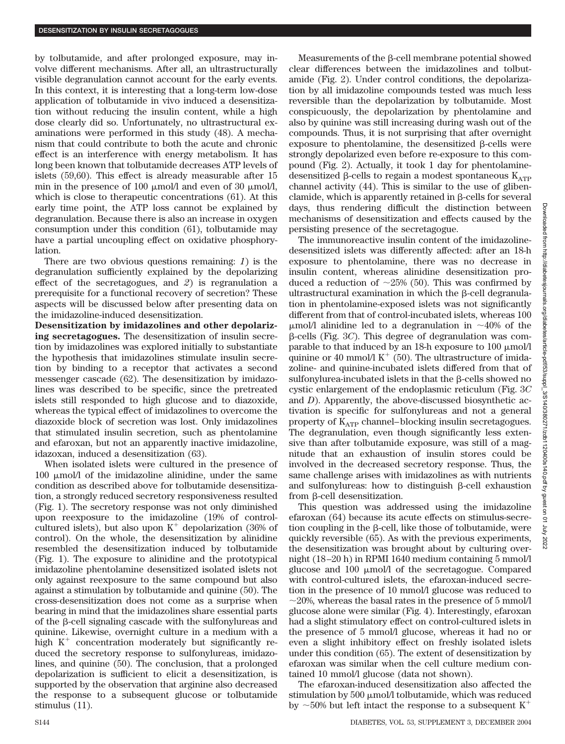by tolbutamide, and after prolonged exposure, may involve different mechanisms. After all, an ultrastructurally visible degranulation cannot account for the early events. In this context, it is interesting that a long-term low-dose application of tolbutamide in vivo induced a desensitization without reducing the insulin content, while a high dose clearly did so. Unfortunately, no ultrastructural examinations were performed in this study (48). A mechanism that could contribute to both the acute and chronic effect is an interference with energy metabolism. It has long been known that tolbutamide decreases ATP levels of islets (59,60). This effect is already measurable after 15 min in the presence of 100  $\mu$ mol/l and even of 30  $\mu$ mol/l, which is close to therapeutic concentrations (61). At this early time point, the ATP loss cannot be explained by degranulation. Because there is also an increase in oxygen consumption under this condition (61), tolbutamide may have a partial uncoupling effect on oxidative phosphorylation.

There are two obvious questions remaining: *1*) is the degranulation sufficiently explained by the depolarizing effect of the secretagogues, and *2*) is regranulation a prerequisite for a functional recovery of secretion? These aspects will be discussed below after presenting data on the imidazoline-induced desensitization.

**Desensitization by imidazolines and other depolarizing secretagogues.** The desensitization of insulin secretion by imidazolines was explored initially to substantiate the hypothesis that imidazolines stimulate insulin secretion by binding to a receptor that activates a second messenger cascade (62). The desensitization by imidazolines was described to be specific, since the pretreated islets still responded to high glucose and to diazoxide, whereas the typical effect of imidazolines to overcome the diazoxide block of secretion was lost. Only imidazolines that stimulated insulin secretion, such as phentolamine and efaroxan, but not an apparently inactive imidazoline, idazoxan, induced a desensitization (63).

When isolated islets were cultured in the presence of 100  $\mu$ mol/l of the imidazoline alinidine, under the same condition as described above for tolbutamide desensitization, a strongly reduced secretory responsiveness resulted (Fig. 1). The secretory response was not only diminished upon reexposure to the imidazoline (19% of controlcultured islets), but also upon  $K^+$  depolarization (36% of control). On the whole, the desensitization by alinidine resembled the desensitization induced by tolbutamide (Fig. 1). The exposure to alinidine and the prototypical imidazoline phentolamine desensitized isolated islets not only against reexposure to the same compound but also against a stimulation by tolbutamide and quinine (50). The cross-desensitization does not come as a surprise when bearing in mind that the imidazolines share essential parts of the  $\beta$ -cell signaling cascade with the sulfonylureas and quinine. Likewise, overnight culture in a medium with a high  $K^+$  concentration moderately but significantly reduced the secretory response to sulfonylureas, imidazolines, and quinine (50). The conclusion, that a prolonged depolarization is sufficient to elicit a desensitization, is supported by the observation that arginine also decreased the response to a subsequent glucose or tolbutamide stimulus (11).

Downloaded from http://diabetesjournals.org/diabetes/article-pdf/53/suppl\_3/S140/380271/zdb1120400s140.pdf by guest on 01 July 2022Downloaded from http://diabelesjournals.org/diabetes/article-pdf/53/suppl\_3/S140/380271/zdb11120400s140.pdf by guest on 01

2022

Measurements of the  $\beta$ -cell membrane potential showed clear differences between the imidazolines and tolbutamide (Fig. 2). Under control conditions, the depolarization by all imidazoline compounds tested was much less reversible than the depolarization by tolbutamide. Most conspicuously, the depolarization by phentolamine and also by quinine was still increasing during wash out of the compounds. Thus, it is not surprising that after overnight exposure to phentolamine, the desensitized  $\beta$ -cells were strongly depolarized even before re-exposure to this compound (Fig. 2). Actually, it took 1 day for phentolaminedesensitized  $\beta$ -cells to regain a modest spontaneous  $K_{ATP}$ channel activity (44). This is similar to the use of glibenclamide, which is apparently retained in  $\beta$ -cells for several days, thus rendering difficult the distinction between mechanisms of desensitization and effects caused by the persisting presence of the secretagogue.

The immunoreactive insulin content of the imidazolinedesensitized islets was differently affected: after an 18-h exposure to phentolamine, there was no decrease in insulin content, whereas alinidine desensitization produced a reduction of  $\sim$ 25% (50). This was confirmed by ultrastructural examination in which the  $\beta$ -cell degranulation in phentolamine-exposed islets was not significantly different from that of control-incubated islets, whereas 100  $\mu$ mol/l alinidine led to a degranulation in ~40% of the β-cells (Fig. 3*C*). This degree of degranulation was comparable to that induced by an 18-h exposure to 100  $\mu$ mol/l quinine or 40 mmol/l  $K^+$  (50). The ultrastructure of imidazoline- and quinine-incubated islets differed from that of sulfonylurea-incubated islets in that the  $\beta$ -cells showed no cystic enlargement of the endoplasmic reticulum (Fig. 3*C* and *D*). Apparently, the above-discussed biosynthetic activation is specific for sulfonylureas and not a general property of  $K_{ATP}$  channel–blocking insulin secretagogues. The degranulation, even though significantly less extensive than after tolbutamide exposure, was still of a magnitude that an exhaustion of insulin stores could be involved in the decreased secretory response. Thus, the same challenge arises with imidazolines as with nutrients and sulfonylureas: how to distinguish  $\beta$ -cell exhaustion from  $\beta$ -cell desensitization.

This question was addressed using the imidazoline efaroxan (64) because its acute effects on stimulus-secretion coupling in the  $\beta$ -cell, like those of tolbutamide, were quickly reversible (65). As with the previous experiments, the desensitization was brought about by culturing overnight (18–20 h) in RPMI 1640 medium containing 5 mmol/l glucose and  $100 \mu$ mol/l of the secretagogue. Compared with control-cultured islets, the efaroxan-induced secretion in the presence of 10 mmol/l glucose was reduced to  $\sim$ 20%, whereas the basal rates in the presence of 5 mmol/l glucose alone were similar (Fig. 4). Interestingly, efaroxan had a slight stimulatory effect on control-cultured islets in the presence of 5 mmol/l glucose, whereas it had no or even a slight inhibitory effect on freshly isolated islets under this condition (65). The extent of desensitization by efaroxan was similar when the cell culture medium contained 10 mmol/l glucose (data not shown).

The efaroxan-induced desensitization also affected the stimulation by  $500 \mu$ mol/l tolbutamide, which was reduced by  $\sim$  50% but left intact the response to a subsequent K<sup>+</sup>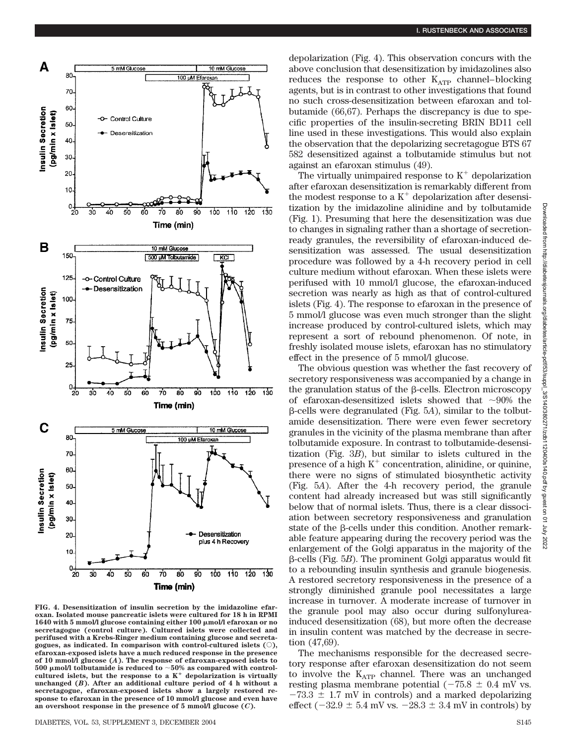

**FIG. 4. Desensitization of insulin secretion by the imidazoline efaroxan. Isolated mouse pancreatic islets were cultured for 18 h in RPMI 1640 with 5 mmol/l glucose containing either 100 mol/l efaroxan or no secretagogue (control culture). Cultured islets were collected and perifused with a Krebs-Ringer medium containing glucose and secreta**gogues, as indicated. In comparison with control-cultured islets  $(\bigcirc)$ , **efaroxan-exposed islets have a much reduced response in the presence of 10 mmol/l glucose (***A***). The response of efaroxan-exposed islets to 500 mol/l tolbutamide is reduced to 50% as compared with control**cultured islets, but the response to a  $K^+$  depolarization is virtually **unchanged (***B***). After an additional culture period of 4 h without a secretagogue, efaroxan-exposed islets show a largely restored response to efaroxan in the presence of 10 mmol/l glucose and even have an overshoot response in the presence of 5 mmol/l glucose (***C***).**

depolarization (Fig. 4). This observation concurs with the above conclusion that desensitization by imidazolines also reduces the response to other  $K_{ATP}$  channel–blocking agents, but is in contrast to other investigations that found no such cross-desensitization between efaroxan and tolbutamide (66,67). Perhaps the discrepancy is due to specific properties of the insulin-secreting BRIN BD11 cell line used in these investigations. This would also explain the observation that the depolarizing secretagogue BTS 67 582 desensitized against a tolbutamide stimulus but not against an efaroxan stimulus (49).

The virtually unimpaired response to  $K^+$  depolarization after efaroxan desensitization is remarkably different from the modest response to a  $K^+$  depolarization after desensitization by the imidazoline alinidine and by tolbutamide (Fig. 1). Presuming that here the desensitization was due to changes in signaling rather than a shortage of secretionready granules, the reversibility of efaroxan-induced desensitization was assessed. The usual desensitization procedure was followed by a 4-h recovery period in cell culture medium without efaroxan. When these islets were perifused with 10 mmol/l glucose, the efaroxan-induced secretion was nearly as high as that of control-cultured islets (Fig. 4). The response to efaroxan in the presence of 5 mmol/l glucose was even much stronger than the slight increase produced by control-cultured islets, which may represent a sort of rebound phenomenon. Of note, in freshly isolated mouse islets, efaroxan has no stimulatory effect in the presence of 5 mmol/l glucose.

The obvious question was whether the fast recovery of secretory responsiveness was accompanied by a change in the granulation status of the  $\beta$ -cells. Electron microscopy of efaroxan-desensitized islets showed that  $\sim 90\%$  the -cells were degranulated (Fig. 5*A*), similar to the tolbutamide desensitization. There were even fewer secretory granules in the vicinity of the plasma membrane than after tolbutamide exposure. In contrast to tolbutamide-desensitization (Fig. 3*B*), but similar to islets cultured in the presence of a high  $K^+$  concentration, alinidine, or quinine, there were no signs of stimulated biosynthetic activity (Fig. 5*A*). After the 4-h recovery period, the granule content had already increased but was still significantly below that of normal islets. Thus, there is a clear dissociation between secretory responsiveness and granulation state of the  $\beta$ -cells under this condition. Another remarkable feature appearing during the recovery period was the enlargement of the Golgi apparatus in the majority of the β-cells (Fig. 5*B*). The prominent Golgi apparatus would fit to a rebounding insulin synthesis and granule biogenesis. A restored secretory responsiveness in the presence of a strongly diminished granule pool necessitates a large increase in turnover. A moderate increase of turnover in the granule pool may also occur during sulfonylureainduced desensitization (68), but more often the decrease in insulin content was matched by the decrease in secretion (47,69).

The mechanisms responsible for the decreased secretory response after efaroxan desensitization do not seem to involve the  $K_{ATP}$  channel. There was an unchanged resting plasma membrane potential ( $-75.8 \pm 0.4$  mV vs.  $-73.3 \pm 1.7$  mV in controls) and a marked depolarizing effect ( $-32.9 \pm 5.4$  mV vs.  $-28.3 \pm 3.4$  mV in controls) by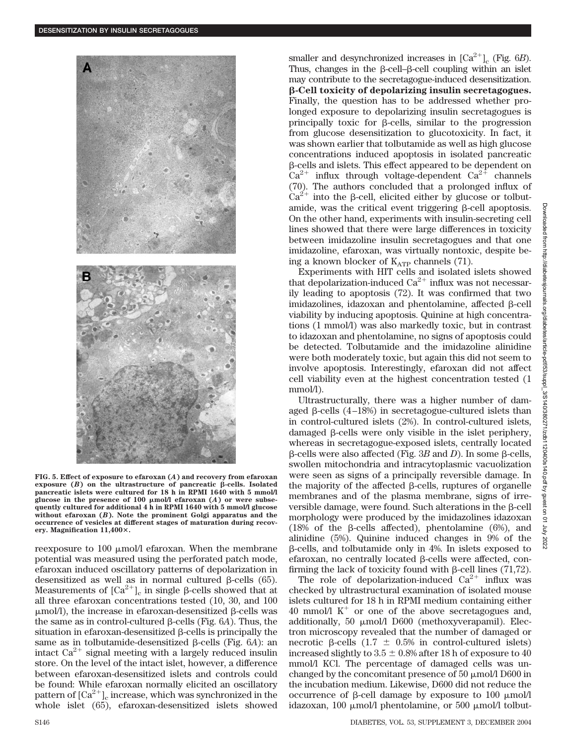

**FIG. 5. Effect of exposure to efaroxan (***A***) and recovery from efaroxan**  $\exp$ *exposure* (*B*) on the ultrastructure of pancreatic  $\beta$ -cells. Isolated **pancreatic islets were cultured for 18 h in RPMI 1640 with 5 mmol/l glucose in the presence of 100 mol/l efaroxan (***A***) or were subsequently cultured for additional 4 h in RPMI 1640 with 5 mmol/l glucose without efaroxan (***B***). Note the prominent Golgi apparatus and the occurrence of vesicles at different stages of maturation during recovery. Magnification 11,400.**

reexposure to 100  $\mu$ mol/l efaroxan. When the membrane potential was measured using the perforated patch mode, efaroxan induced oscillatory patterns of depolarization in desensitized as well as in normal cultured  $\beta$ -cells (65). Measurements of  $\lbrack Ca^{2+} \rbrack_c$  in single  $\beta$ -cells showed that at all three efaroxan concentrations tested (10, 30, and 100  $\mu$ mol/l), the increase in efaroxan-desensitized  $\beta$ -cells was the same as in control-cultured  $\beta$ -cells (Fig.  $6A$ ). Thus, the situation in efaroxan-desensitized  $\beta$ -cells is principally the same as in tolbutamide-desensitized  $\beta$ -cells (Fig.  $6A$ ): an intact  $Ca^{2+}$  signal meeting with a largely reduced insulin store. On the level of the intact islet, however, a difference between efaroxan-desensitized islets and controls could be found: While efaroxan normally elicited an oscillatory pattern of  ${\rm [Ca^{2+}]}_{\rm c}$  increase, which was synchronized in the whole islet (65), efaroxan-desensitized islets showed

smaller and desynchronized increases in  $\lbrack Ca^{2+}\rbrack _c$  (Fig. 6*B*). Thus, changes in the  $\beta$ -cell– $\beta$ -cell coupling within an islet may contribute to the secretagogue-induced desensitization. -**-Cell toxicity of depolarizing insulin secretagogues.** Finally, the question has to be addressed whether prolonged exposure to depolarizing insulin secretagogues is principally toxic for  $\beta$ -cells, similar to the progression from glucose desensitization to glucotoxicity. In fact, it was shown earlier that tolbutamide as well as high glucose concentrations induced apoptosis in isolated pancreatic -cells and islets. This effect appeared to be dependent on  $Ca^{2+}$  influx through voltage-dependent  $Ca^{2+}$  channels (70). The authors concluded that a prolonged influx of  $\text{Ca}^{2+}$  into the  $\beta$ -cell, elicited either by glucose or tolbutamide, was the critical event triggering  $\beta$ -cell apoptosis. On the other hand, experiments with insulin-secreting cell lines showed that there were large differences in toxicity between imidazoline insulin secretagogues and that one imidazoline, efaroxan, was virtually nontoxic, despite being a known blocker of  $K_{ATP}$  channels (71).

Experiments with HIT cells and isolated islets showed that depolarization-induced  $Ca^{2+}$  influx was not necessarily leading to apoptosis (72). It was confirmed that two imidazolines, idazoxan and phentolamine, affected  $\beta$ -cell viability by inducing apoptosis. Quinine at high concentrations (1 mmol/l) was also markedly toxic, but in contrast to idazoxan and phentolamine, no signs of apoptosis could be detected. Tolbutamide and the imidazoline alinidine were both moderately toxic, but again this did not seem to involve apoptosis. Interestingly, efaroxan did not affect cell viability even at the highest concentration tested (1 mmol/l).

Ultrastructurally, there was a higher number of damaged  $\beta$ -cells (4–18%) in secretagogue-cultured islets than in control-cultured islets (2%). In control-cultured islets, damaged  $\beta$ -cells were only visible in the islet periphery, whereas in secretagogue-exposed islets, centrally located  $\beta$ -cells were also affected (Fig. 3*B* and *D*). In some  $\beta$ -cells, swollen mitochondria and intracytoplasmic vacuolization were seen as signs of a principally reversible damage. In the majority of the affected  $\beta$ -cells, ruptures of organelle membranes and of the plasma membrane, signs of irreversible damage, were found. Such alterations in the  $\beta$ -cell morphology were produced by the imidazolines idazoxan (18% of the  $\beta$ -cells affected), phentolamine (6%), and alinidine (5%). Quinine induced changes in 9% of the  $\beta$ -cells, and tolbutamide only in 4%. In islets exposed to efaroxan, no centrally located  $\beta$ -cells were affected, confirming the lack of toxicity found with  $\beta$ -cell lines (71,72).

The role of depolarization-induced  $Ca^{2+}$  influx was checked by ultrastructural examination of isolated mouse islets cultured for 18 h in RPMI medium containing either 40 mmol/l  $K^+$  or one of the above secretagogues and, additionally, 50  $\mu$ mol/l D600 (methoxyverapamil). Electron microscopy revealed that the number of damaged or necrotic  $\beta$ -cells (1.7  $\pm$  0.5% in control-cultured islets) increased slightly to  $3.5 \pm 0.8\%$  after 18 h of exposure to 40 mmol/l KCl. The percentage of damaged cells was unchanged by the concomitant presence of 50  $\mu$ mol/l D600 in the incubation medium. Likewise, D600 did not reduce the occurrence of  $\beta$ -cell damage by exposure to 100  $\mu$ mol/l idazoxan, 100  $\mu$ mol/l phentolamine, or 500  $\mu$ mol/l tolbut-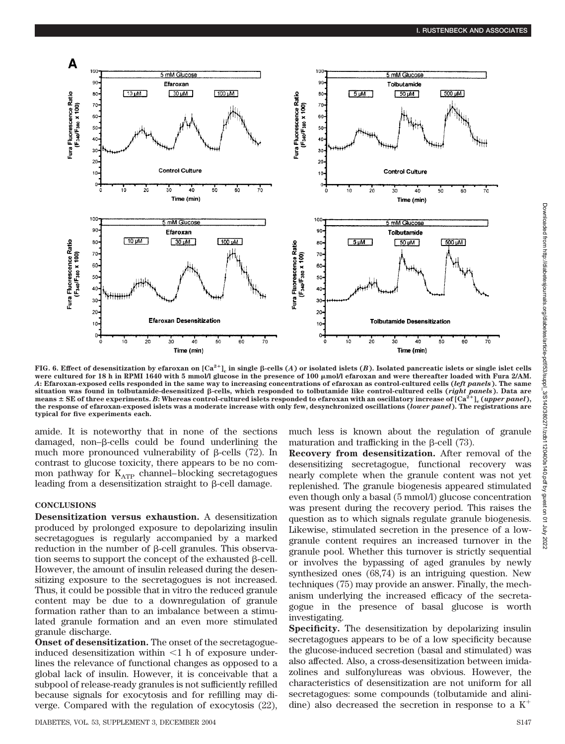

FIG. 6. Effect of desensitization by efaroxan on  ${\rm [Ca^{2+}]}_{\rm c}$  in single β-cells (*A*) or isolated islets (*B*). Isolated pancreatic islets or single islet cells were cultured for 18 h in RPMI 1640 with 5 mmol/l glucose in the presence of 100  $\mu$ mol/l efaroxan and were thereafter loaded with Fura 2/AM. *A***: Efaroxan-exposed cells responded in the same way to increasing concentrations of efaroxan as control-cultured cells (***left panels***). The same** situation was found in tolbutamide-desensitized β-cells, which responded to tolbutamide like control-cultured cells (*right panels*). Data are means  $\pm$  SE of three experiments. B: Whereas control-cultured islets responded to efaroxan with an oscillatory increase of  $[Ca^{2+}]_c$  (*upper panel*), **the response of efaroxan-exposed islets was a moderate increase with only few, desynchronized oscillations (***lower panel***). The registrations are typical for five experiments each.**

amide. It is noteworthy that in none of the sections damaged, non– $\beta$ -cells could be found underlining the much more pronounced vulnerability of  $\beta$ -cells (72). In contrast to glucose toxicity, there appears to be no common pathway for  $K_{ATP}$  channel–blocking secretagogues leading from a desensitization straight to  $\beta$ -cell damage.

#### **CONCLUSIONS**

**Desensitization versus exhaustion.** A desensitization produced by prolonged exposure to depolarizing insulin secretagogues is regularly accompanied by a marked reduction in the number of  $\beta$ -cell granules. This observation seems to support the concept of the exhausted  $\beta$ -cell. However, the amount of insulin released during the desensitizing exposure to the secretagogues is not increased. Thus, it could be possible that in vitro the reduced granule content may be due to a downregulation of granule formation rather than to an imbalance between a stimulated granule formation and an even more stimulated granule discharge.

**Onset of desensitization.** The onset of the secretagogueinduced desensitization within  $\leq 1$  h of exposure underlines the relevance of functional changes as opposed to a global lack of insulin. However, it is conceivable that a subpool of release-ready granules is not sufficiently refilled because signals for exocytosis and for refilling may diverge. Compared with the regulation of exocytosis (22),

much less is known about the regulation of granule maturation and trafficking in the  $\beta$ -cell (73).

**Recovery from desensitization.** After removal of the desensitizing secretagogue, functional recovery was nearly complete when the granule content was not yet replenished. The granule biogenesis appeared stimulated even though only a basal (5 mmol/l) glucose concentration was present during the recovery period. This raises the question as to which signals regulate granule biogenesis. Likewise, stimulated secretion in the presence of a lowgranule content requires an increased turnover in the granule pool. Whether this turnover is strictly sequential or involves the bypassing of aged granules by newly synthesized ones (68,74) is an intriguing question. New techniques (75) may provide an answer. Finally, the mechanism underlying the increased efficacy of the secretagogue in the presence of basal glucose is worth investigating.

**Specificity.** The desensitization by depolarizing insulin secretagogues appears to be of a low specificity because the glucose-induced secretion (basal and stimulated) was also affected. Also, a cross-desensitization between imidazolines and sulfonylureas was obvious. However, the characteristics of desensitization are not uniform for all secretagogues: some compounds (tolbutamide and alinidine) also decreased the secretion in response to a  $K^+$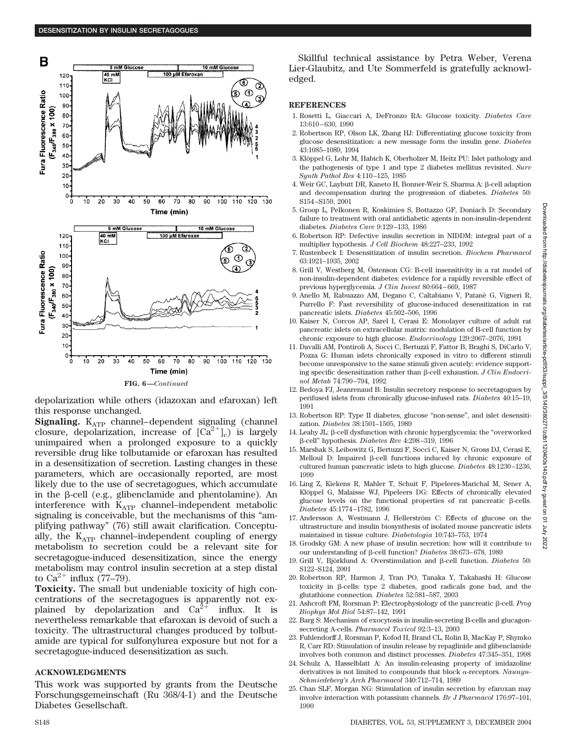

depolarization while others (idazoxan and efaroxan) left this response unchanged.

**Signaling.**  $K_{ATP}$  channel–dependent signaling (channel closure, depolarization, increase of  $[\text{Ca}^{2+}]_c$  is largely unimpaired when a prolonged exposure to a quickly reversible drug like tolbutamide or efaroxan has resulted in a desensitization of secretion. Lasting changes in these parameters, which are occasionally reported, are most likely due to the use of secretagogues, which accumulate in the  $\beta$ -cell (e.g., glibenclamide and phentolamine). An interference with  $K_{ATP}$  channel–independent metabolic signaling is conceivable, but the mechanisms of this "amplifying pathway" (76) still await clarification. Conceptually, the  $K_{ATP}$  channel–independent coupling of energy metabolism to secretion could be a relevant site for secretagogue-induced desensitization, since the energy metabolism may control insulin secretion at a step distal to  $Ca^{2+}$  influx (77–79).

**Toxicity.** The small but undeniable toxicity of high concentrations of the secretagogues is apparently not explained by depolarization and  $Ca^{2+}$  influx. It is nevertheless remarkable that efaroxan is devoid of such a toxicity. The ultrastructural changes produced by tolbutamide are typical for sulfonylurea exposure but not for a secretagogue-induced desensitization as such.

#### **ACKNOWLEDGMENTS**

This work was supported by grants from the Deutsche Forschungsgemeinschaft (Ru 368/4-1) and the Deutsche Diabetes Gesellschaft.

Skillful technical assistance by Petra Weber, Verena Lier-Glaubitz, and Ute Sommerfeld is gratefully acknowledged.

#### **REFERENCES**

- 1. Rosetti L, Giaccari A, DeFronzo RA: Glucose toxicity. *Diabetes Care* 13:610–630, 1990
- 2. Robertson RP, Olson LK, Zhang HJ: Differentiating glucose toxicity from glucose desensitization: a new message form the insulin gene. *Diabetes* 43:1085–1089, 1994
- 3. Klöppel G, Lohr M, Habich K, Oberholzer M, Heitz PU: Islet pathology and the pathogenesis of type 1 and type 2 diabetes mellitus revisited. *Surv Synth Pathol Res* 4:110–125, 1985
- 4. Weir GC, Laybutt DR, Kaneto H, Bonner-Weir S, Sharma Α: β-cell adaption and decompensation during the progression of diabetes. *Diabetes* 50: S154–S159, 2001
- 5. Groop L, Pelkonen R, Koskimies S, Bottazzo GF, Doniach D: Secondary failure to treatment with oral antidiabetic agents in non-insulin-dependent diabetes. *Diabetes Care* 9:129–133, 1986
- 6. Robertson RP: Defective insulin secretion in NIDDM: integral part of a multiplier hypothesis. *J Cell Biochem* 48:227–233, 1992
- 7. Rustenbeck I: Desensitization of insulin secretion. *Biochem Pharmacol* 63:1921–1935, 2002
- 8. Grill V, Westberg M, Östenson CG: B-cell insensitivity in a rat model of non-insulin-dependent diabetes: evidence for a rapidly reversible effect of previous hyperglycemia. *J Clin Invest* 80:664–669, 1987
- 9. Anello M, Rabuazzo AM, Degano C, Caltabiano V, Patane` G, Vigneri R, Purrello F: Fast reversibility of glucose-induced desensitization in rat pancreatic islets. *Diabetes* 45:502–506, 1996
- 10. Kaiser N, Corcos AP, Sarel I, Cerasi E: Monolayer culture of adult rat pancreatic islets on extracellular matrix: modulation of B-cell function by chronic exposure to high glucose. *Endocrinology* 129:2067–2076, 1991
- 11. Davalli AM, Pontiroli A, Socci C, Bertuzzi F, Fattor B, Braghi S, DiCarlo V, Pozza G: Human islets chronically exposed in vitro to different stimuli become unresponsive to the same stimuli given acutely: evidence supporting specific desensitization rather than  $\beta$ -cell exhaustion. *J Clin Endocrinol Metab* 74:790–794, 1992
- 12. Bedoya FJ, Jeanrenaud B: Insulin secretory response to secretagogues by perifused islets from chronically glucose-infused rats. *Diabetes* 40:15–19, 1991
- 13. Robertson RP: Type II diabetes, glucose "non-sense", and islet desensitization. *Diabetes* 38:1501–1505, 1989
- 14. Leahy JL:  $\beta$ -cell dysfunction with chronic hyperglycemia: the "overworked -cell" hypothesis. *Diabetes Rev* 4:298–319, 1996
- 15. Marshak S, Leibowitz G, Bertuzzi F, Socci C, Kaiser N, Gross DJ, Cerasi E, Melloul D: Impaired  $\beta$ -cell functions induced by chronic exposure of cultured human pancreatic islets to high glucose. *Diabetes* 48:1230–1236, 1999
- 16. Ling Z, Kiekens R, Mahler T, Schuit F, Pipeleers-Marichal M, Sener A, Klöppel G, Malaisse WJ, Pipeleers DG: Effects of chronically elevated glucose levels on the functional properties of rat pancreatic  $\beta$ -cells. *Diabetes* 45:1774–1782, 1996
- 17. Andersson A, Westmann J, Hellerström C: Effects of glucose on the ultrastructure and insulin biosynthesis of isolated mouse pancreatic islets maintained in tissue culture. *Diabetologia* 10:743–753, 1974
- 18. Grodsky GM: A new phase of insulin secretion: how will it contribute to our understanding of β-cell function? *Diabetes* 38:673-678, 1989
- 19. Grill V, Björklund A: Overstimulation and β-cell function. *Diabetes* 50: S122–S124, 2001
- 20. Robertson RP, Harmon J, Tran PO, Tanaka Y, Takahashi H: Glucose toxicity in  $\beta$ -cells: type 2 diabetes, good radicals gone bad, and the glutathione connection. *Diabetes* 52:581–587, 2003
- 21. Ashcroft FM, Rorsman P: Electrophysiology of the pancreatic β-cell. *Prog Biophys Mol Biol* 54:87–142, 1991
- 22. Barg S: Mechanism of exocytosis in insulin-secreting B-cells and glucagonsecreting A-cells. *Pharmacol Toxicol* 92:3–13, 2003
- 23. Fuhlendorff J, Rorsman P, Kofod H, Brand CL, Rolin B, MacKay P, Shymko R, Carr RD: Stimulation of insulin release by repaglinide and glibenclamide involves both common and distinct processes. *Diabetes* 47:345–351, 1998
- 24. Schulz A, Hasselblatt A: An insulin-releasing property of imidazoline derivatives is not limited to compounds that block  $\alpha$ -receptors. *Naunyn*-*Schmiedeberg's Arch Pharmacol* 340:712–714, 1989
- 25. Chan SLF, Morgan NG: Stimulation of insulin secretion by efaroxan may involve interaction with potassium channels. *Br J Pharmacol* 176:97–101, 1990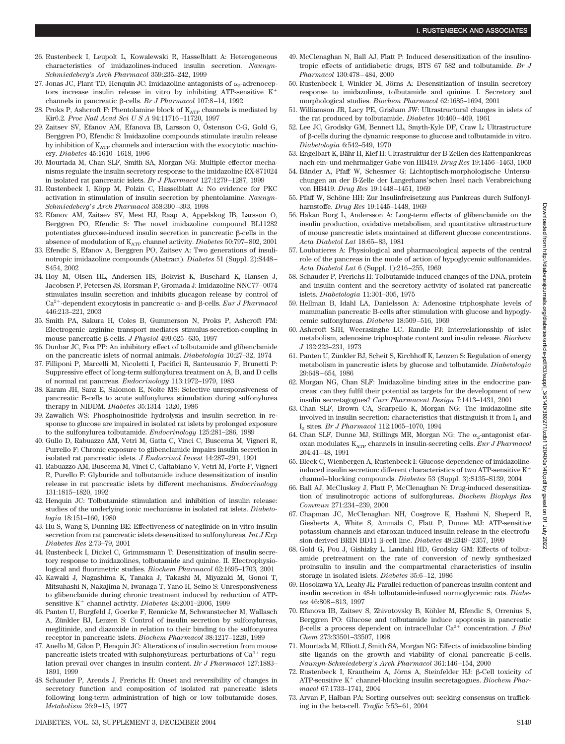- 26. Rustenbeck I, Leupolt L, Kowalewski R, Hasselblatt A: Heterogeneous characteristics of imidazolines-induced insulin secretion. *Naunyn-Schmiedeberg's Arch Pharmacol* 359:235–242, 1999
- 27. Jonas JC, Plant TD, Henquin JC: Imidazoline antagonists of  $\alpha_2$ -adrenoceptors increase insulin release in vitro by inhibiting ATP-sensitive  $K^+$ channels in pancreatic β-cells. *Br J Pharmacol* 107:8-14, 1992
- 28. Proks P, Ashcroft F: Phentolamine block of  $\mathrm{K}_{\mathrm{ATP}}$  channels is mediated by Kir6.2. *Proc Natl Acad SciUSA* 94:11716–11720, 1997
- 29. Zaitsev SV, Efanov AM, Efanova IB, Larsson O, Östenson C-G, Gold G, Berggren PO, Efendic S: Imidazoline compounds stimulate insulin release by inhibition of  $K_{ATP}$  channels and interaction with the exocytotic machinery. *Diabetes* 45:1610–1618, 1996
- 30. Mourtada M, Chan SLF, Smith SA, Morgan NG: Multiple effector mechanisms regulate the insulin secretory response to the imidazoline RX-871024 in isolated rat pancreatic islets. *Br J Pharmacol* 127:1279–1287, 1999
- 31. Rustenbeck I, Köpp M, Polzin C, Hasselblatt A: No evidence for PKC activation in stimulation of insulin secretion by phentolamine. *Naunyn-Schmiedeberg s Arch Pharmacol* 358:390–393, 1998
- 32. Efanov AM, Zaitsev SV, Mest HJ, Raap A, Appelskog IB, Larsson O, Berggren PO, Efendic S: The novel imidazoline compound BL11282 potentiates glucose-induced insulin secretion in pancreatic  $\beta$ -cells in the absence of modulation of  $\mathrm{K}_{\mathrm{ATP}}$  channel activity. *Diabetes* 50:797–802, 2001
- 33. Efendic S, Efanov A, Berggren PO, Zaitsev A: Two generations of insulinotropic imidazoline compounds (Abstract). *Diabetes* 51 (Suppl. 2):S448– S454, 2002
- 34. Hoy M, Olsen HL, Andersen HS, Bokvist K, Buschard K, Hansen J, Jacobsen P, Petersen JS, Rorsman P, Gromada J: Imidazoline NNC77–0074 stimulates insulin secretion and inhibits glucagon release by control of  $Ca^{2+}$ -dependent exocytosis in pancreatic  $\alpha$ - and  $\beta$ -cells. *Eur J Pharmacol* 446:213–221, 2003
- 35. Smith PA, Sakura H, Coles B, Gummerson N, Proks P, Ashcroft FM: Electrogenic arginine transport mediates stimulus-secretion-coupling in mouse pancreatic β-cells. *J Physiol* 499:625-635, 1997
- 36. Dunbar JC, Foa PP: An inhibitory effect of tolbutamide and glibenclamide on the pancreatic islets of normal animals. *Diabetologia* 10:27–32, 1974
- 37. Filliponi P, Marcelli M, Nicoletti I, Pacifici R, Santeusanio F, Brunetti P: Suppressive effect of long-term sulfonylurea treatment on A, B, and D cells of normal rat pancreas. *Endocrinology* 113:1972–1979, 1983
- 38. Karam JH, Sanz E, Salomon E, Nolte MS: Selective unresponsiveness of pancreatic B-cells to acute sulfonylurea stimulation during sulfonylurea therapy in NIDDM. *Diabetes* 35:1314–1320, 1986
- 39. Zawalich WS: Phosphoinositide hydrolysis and insulin secretion in response to glucose are impaired in isolated rat islets by prolonged exposure to the sulfonylurea tolbutamide. *Endocrinology* 125:281–286, 1989
- 40. Gullo D, Rabuazzo AM, Vetri M, Gatta C, Vinci C, Buscema M, Vigneri R, Purrello F: Chronic exposure to glibenclamide impairs insulin secretion in isolated rat pancreatic islets. *J Endocrinol Invest* 14:287–291, 1991
- 41. Rabuazzo AM, Buscema M, Vinci C, Caltabiano V, Vetri M, Forte F, Vigneri R, Purello F: Glyburide and tolbutamide induce desensitization of insulin release in rat pancreatic islets by different mechanisms. *Endocrinology* 131:1815–1820, 1992
- 42. Henquin JC: Tolbutamide stimulation and inhibition of insulin release: studies of the underlying ionic mechanisms in isolated rat islets. *Diabetologia* 18:151–160, 1980
- 43. Hu S, Wang S, Dunning BE: Effectiveness of nateglinide on in vitro insulin secretion from rat pancreatic islets desensitized to sulfonylureas. *Int J Exp Diabetes Res* 2:73–79, 2001
- 44. Rustenbeck I, Dickel C, Grimmsmann T: Desensitization of insulin secretory response to imidazolines, tolbutamide and quinine. II. Electrophysiological and fluorimetric studies. *Biochem Pharmacol* 62:1695–1703, 2001
- 45. Kawaki J, Nagashima K, Tanaka J, Takashi M, Miyazaki M, Gonoi T, Mitsuhashi N, Nakajima N, Iwanaga T, Yano H, Seino S: Unresponsiveness to glibenclamide during chronic treatment induced by reduction of ATPsensitive K<sup>+</sup> channel activity. *Diabetes* 48:2001-2006, 1999
- 46. Panten U, Burgfeld J, Goerke F, Rennicke M, Schwanstecher M, Wallasch A, Zünkler BJ, Lenzen S: Control of insulin secretion by sulfonylureas, meglitinide, and diazoxide in relation to their binding to the sulfonyurea receptor in pancreatic islets. *Biochem Pharmacol* 38:1217–1229, 1989
- 47. Anello M, Gilon P, Henquin JC: Alterations of insulin secretion from mouse pancreatic islets treated with sulphonylureas: perturbations of  $Ca^{2+}$  regulation prevail over changes in insulin content. *Br J Pharmacol* 127:1883– 1891, 1999
- 48. Schauder P, Arends J, Frerichs H: Onset and reversibility of changes in secretory function and composition of isolated rat pancreatic islets following long-term administration of high or low tolbutamide doses. *Metabolism* 26:9–15, 1977
- 49. McClenaghan N, Ball AJ, Flatt P: Induced desensitization of the insulinotropic effects of antidiabetic drugs, BTS 67 582 and tolbutamide. *Br J Pharmacol* 130:478–484, 2000
- 50. Rustenbeck I, Winkler M, Jörns A: Desensitization of insulin secretory response to imidazolines, tolbutamide and quinine. I. Secretory and morphological studies. *Biochem Pharmacol* 62:1685–1694, 2001
- 51. Williamson JR, Lacy PE, Grisham JW: Ultrastructural changes in islets of the rat produced by tolbutamide. *Diabetes* 10:460–469, 1961
- 52. Lee JC, Grodsky GM, Bennett LL, Smyth-Kyle DF, Craw L: Ultrastructure of  $\beta$ -cells during the dynamic response to glucose and tolbutamide in vitro. *Diabetologia* 6:542–549, 1970
- 53. Engelbart K, Bähr H, Kief H: Ultrastruktur der B-Zellen des Rattenpankreas nach ein- und mehrmaliger Gabe von HB419. *Drug Res* 19:1456–1463, 1969
- 54. Bänder A, Pfaff W, Schesmer G: Lichtoptisch-morphologische Untersuchungen an der B-Zelle der Langerhans'schen Insel nach Verabreichung von HB419. *Drug Res* 19:1448–1451, 1969
- 55. Pfaff W, Schöne HH: Zur Insulinfreisetzung aus Pankreas durch Sulfonylharnstoffe. *Drug Res* 19:1445–1448, 1969
- 56. Hakan Borg L, Andersson A: Long-term effects of glibenclamide on the insulin production, oxidative metabolism, and quantitative ultrastructure of mouse pancreatic islets maintained at different glucose concentrations. *Acta Diabetol Lat* 18:65–83, 1981
- 57. Loubatieres A: Physiological and pharmacological aspects of the central role of the pancreas in the mode of action of hypoglycemic sulfonamides. *Acta Diabetol Lat* 6 (Suppl. 1):216–255, 1969
- 58. Schauder P, Frerichs H: Tolbutamide-induced changes of the DNA, protein and insulin content and the secretory activity of isolated rat pancreatic islets. *Diabetologia* 11:301–305, 1975
- 59. Hellman B, Idahl LA, Danielsson A: Adenosine triphosphate levels of mammalian pancreatic B-cells after stimulation with glucose and hypoglycemic sulfonylureas. *Diabetes* 18:509–516, 1969
- 60. Ashcroft SJH, Weerasinghe LC, Randle PJ: Interrelationsship of islet metabolism, adenosine triphosphate content and insulin release. *Biochem J* 132:223–231, 1973
- 61. Panten U, Zünkler BJ, Scheit S, Kirchhoff K, Lenzen S: Regulation of energy metabolism in pancreatic islets by glucose and tolbutamide. *Diabetologia* 29:648–654, 1986
- 62. Morgan NG, Chan SLF: Imidazoline binding sites in the endocrine pancreas: can they fulfil their potential as targets for the development of new insulin secretagogues? *Curr Pharmaceut Design* 7:1413–1431, 2001
- 63. Chan SLF, Brown CA, Scarpello K, Morgan NG: The imidazoline site involved in insulin secretion: characteristics that distinguish it from  $I_1$  and I2 sites. *Br J Pharmacol* 112:1065–1070, 1994
- 64. Chan SLF, Dunne MJ, Stillings MR, Morgan NG: The  $\alpha_2$ -antagonist efaroxan modulates K<sub>ATP</sub> channels in insulin-secreting cells. *Eur J Pharmacol* 204:41–48, 1991
- 65. Bleck C, Wienbergen A, Rustenbeck I: Glucose dependence of imidazolineinduced insulin secretion: different characteristics of two ATP-sensitive  $K^+$ channel–blocking compounds. *Diabetes* 53 (Suppl. 3):S135–S139, 2004
- 66. Ball AJ, McCluskey J, Flatt P, McClenaghan N: Drug-induced desensitization of insulinotropic actions of sulfonylureas. *Biochem Biophys Res Commun* 271:234–239, 2000
- 67. Chapman JC, McClenaghan NH, Cosgrove K, Hashmi N, Sheperd R, Giesberts A, White S, Ammälä C, Flatt P, Dunne MJ: ATP-sensitive potassium channels and efaroxan-induced insulin release in the electrofusion-derived BRIN BD11 β-cell line. *Diabetes* 48:2349-2357, 1999
- 68. Gold G, Pou J, Gishizky L, Landahl HD, Grodsky GM: Effects of tolbutamide pretreatment on the rate of conversion of newly synthesized proinsulin to insulin and the compartmental characteristics of insulin storage in isolated islets. *Diabetes* 35:6–12, 1986
- 69. Hosokawa YA, Leahy JL: Parallel reduction of pancreas insulin content and insulin secretion in 48-h tolbutamide-infused normoglycemic rats. *Diabetes* 46:808–813, 1997
- 70. Efanova IB, Zaitsev S, Zhivotovsky B, Köhler M, Efendic S, Orrenius S, Berggren PO: Glucose and tolbutamide induce apoptosis in pancreatic  $\beta$ -cells: a process dependent on intracellular Ca<sup>2+</sup> concentration. *J Biol Chem* 273:33501–33507, 1998
- 71. Mourtada M, Elliott J, Smith SA, Morgan NG: Effects of imidazoline binding site ligands on the growth and viability of clonal pancreatic  $\beta$ -cells. *Naunyn-Schmiedeberg s Arch Pharmacol* 361:146–154, 2000
- 72. Rustenbeck I, Krautheim A, Jörns A, Steinfelder HJ:  $\beta$ -Cell toxicity of ATP-sensitive K<sup>+</sup> channel-blocking insulin secretagogues. *Biochem Pharmacol* 67:1733–1741, 2004
- 73. Arvan P, Halban PA: Sorting ourselves out: seeking consensus on trafficking in the beta-cell. *Traffic* 5:53–61, 2004

2022<br>2022